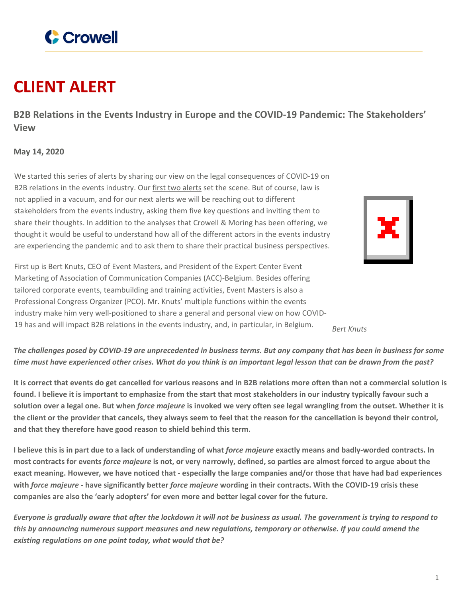

## **CLIENT ALERT**

**B2B Relations in the Events Industry in Europe and the COVID-19 Pandemic: The Stakeholders' View**

## **May 14, 2020**

We started this series of alerts by sharing our view on the legal consequences of COVID-19 on B2B relations in the events industry. Our first two [alerts](https://www.crowell.com/NewsEvents/AlertsNewsletters/B2B-Relations-in-the-Events-Industry-in-Europe-and-the-COVID-19-Pandemic) set the scene. But of course, law is not applied in a vacuum, and for our next alerts we will be reaching out to different stakeholders from the events industry, asking them five key questions and inviting them to share their thoughts. In addition to the analyses that Crowell & Moring has been offering, we thought it would be useful to understand how all of the different actors in the events industry are experiencing the pandemic and to ask them to share their practical business perspectives.



First up is Bert Knuts, CEO of Event Masters, and President of the Expert Center Event Marketing of Association of Communication Companies (ACC)-Belgium. Besides offering tailored corporate events, teambuilding and training activities, Event Masters is also a Professional Congress Organizer (PCO). Mr. Knuts' multiple functions within the events industry make him very well-positioned to share a general and personal view on how COVID-<sup>19</sup> has and will impact B2B relations in the events industry, and, in particular, in Belgium. *Bert Knuts*

## The challenges posed by COVID-19 are unprecedented in business terms. But any company that has been in business for some time must have experienced other crises. What do you think is an important legal lesson that can be drawn from the past?

It is correct that events do get cancelled for various reasons and in B2B relations more often than not a commercial solution is found. I believe it is important to emphasize from the start that most stakeholders in our industry typically favour such a solution over a legal one. But when *force majeure* is invoked we very often see legal wrangling from the outset. Whether it is the client or the provider that cancels, they always seem to feel that the reason for the cancellation is beyond their control, **and that they therefore have good reason to shield behind this term.**

I believe this is in part due to a lack of understanding of what *force majeure* exactly means and badly-worded contracts. In most contracts for events *force majeure* is not, or very narrowly, defined, so parties are almost forced to argue about the exact meaning. However, we have noticed that - especially the large companies and/or those that have had bad experiences with force majeure - have significantly better force majeure wording in their contracts. With the COVID-19 crisis these **companies are also the 'early adopters' for even more and better legal cover for the future.**

Everyone is gradually aware that after the lockdown it will not be business as usual. The government is trying to respond to this by announcing numerous support measures and new regulations, temporary or otherwise. If you could amend the *existing regulations on one point today, what would that be?*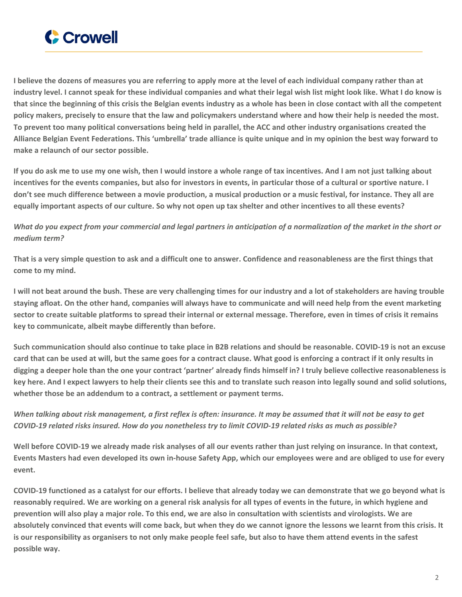

I believe the dozens of measures you are referring to apply more at the level of each individual company rather than at industry level. I cannot speak for these individual companies and what their legal wish list might look like. What I do know is that since the beginning of this crisis the Belgian events industry as a whole has been in close contact with all the competent policy makers, precisely to ensure that the law and policymakers understand where and how their help is needed the most. To prevent too many political conversations being held in parallel, the ACC and other industry organisations created the Alliance Belgian Event Federations. This 'umbrella' trade alliance is quite unique and in my opinion the best way forward to **make a relaunch of our sector possible.**

If you do ask me to use my one wish, then I would instore a whole range of tax incentives. And I am not just talking about incentives for the events companies, but also for investors in events, in particular those of a cultural or sportive nature. I don't see much difference between a movie production, a musical production or a music festival, for instance. They all are equally important aspects of our culture. So why not open up tax shelter and other incentives to all these events?

What do you expect from your commercial and legal partners in anticipation of a normalization of the market in the short or *medium term?*

That is a very simple question to ask and a difficult one to answer. Confidence and reasonableness are the first things that **come to my mind.**

I will not beat around the bush. These are very challenging times for our industry and a lot of stakeholders are having trouble staying afloat. On the other hand, companies will always have to communicate and will need help from the event marketing sector to create suitable platforms to spread their internal or external message. Therefore, even in times of crisis it remains **key to communicate, albeit maybe differently than before.**

Such communication should also continue to take place in B2B relations and should be reasonable. COVID-19 is not an excuse card that can be used at will, but the same goes for a contract clause. What good is enforcing a contract if it only results in digging a deeper hole than the one your contract 'partner' already finds himself in? I truly believe collective reasonableness is key here. And I expect lawyers to help their clients see this and to translate such reason into legally sound and solid solutions, **whether those be an addendum to a contract, a settlement or payment terms.**

When talking about risk management, a first reflex is often: insurance. It may be assumed that it will not be easy to get COVID-19 related risks insured. How do you nonetheless try to limit COVID-19 related risks as much as possible?

Well before COVID-19 we already made risk analyses of all our events rather than just relying on insurance. In that context, Events Masters had even developed its own in-house Safety App, which our employees were and are obliged to use for every **event.**

COVID-19 functioned as a catalyst for our efforts. I believe that already today we can demonstrate that we go beyond what is reasonably required. We are working on a general risk analysis for all types of events in the future, in which hygiene and prevention will also play a major role. To this end, we are also in consultation with scientists and virologists. We are absolutely convinced that events will come back, but when they do we cannot ignore the lessons we learnt from this crisis. It is our responsibility as organisers to not only make people feel safe, but also to have them attend events in the safest **possible way.**